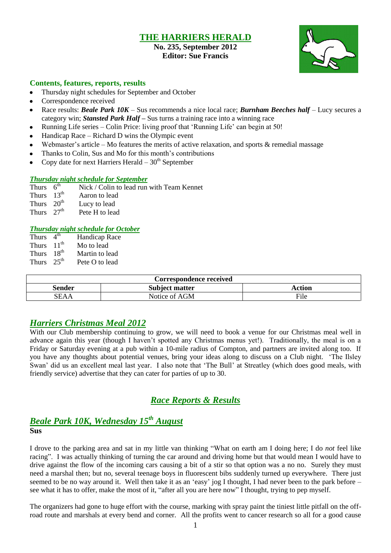## **THE HARRIERS HERALD**

## **No. 235, September 2012 Editor: Sue Francis**



### **Contents, features, reports, results**

- Thursday night schedules for September and October
- Correspondence received
- Race results: *Beale Park 10K* Sus recommends a nice local race; *Burnham Beeches half* Lucy secures a category win; *Stansted Park Half –* Sus turns a training race into a winning race
- Running Life series Colin Price: living proof that 'Running Life' can begin at 50!
- Handicap Race Richard D wins the Olympic event
- Webmaster's article Mo features the merits of active relaxation, and sports  $\&$  remedial massage
- Thanks to Colin, Sus and Mo for this month's contributions
- Copy date for next Harriers Herald  $-30<sup>th</sup>$  September

### *Thursday night schedule for September*

Thurs  $6<sup>th</sup>$ Nick / Colin to lead run with Team Kennet

- Thurs  $13<sup>th</sup>$ Aaron to lead
- Thurs  $20<sup>th</sup>$  Lucy to lead
- Thurs  $27<sup>th</sup>$ Pete H to lead

#### *Thursday night schedule for October*

Thurs  $4<sup>th</sup>$ Handicap Race Thurs 11<sup>th</sup> Mo to lead Thurs  $18^{th}$ <br>Thurs  $25^{th}$  Martin to lead Pete O to lead

| Correspondence received |                       |        |  |  |  |  |
|-------------------------|-----------------------|--------|--|--|--|--|
| Sender                  | <b>Subject matter</b> | Action |  |  |  |  |
| SEAA                    | Notice of AGM         | File   |  |  |  |  |

## *Harriers Christmas Meal 2012*

With our Club membership continuing to grow, we will need to book a venue for our Christmas meal well in advance again this year (though I haven't spotted any Christmas menus yet!). Traditionally, the meal is on a Friday or Saturday evening at a pub within a 10-mile radius of Compton, and partners are invited along too. If you have any thoughts about potential venues, bring your ideas along to discuss on a Club night. 'The Ilsley Swan' did us an excellent meal last year. I also note that 'The Bull' at Streatley (which does good meals, with friendly service) advertise that they can cater for parties of up to 30.

# *Race Reports & Results*

## *Beale Park 10K, Wednesday 15th August* **Sus**

I drove to the parking area and sat in my little van thinking "What on earth am I doing here; I do *not* feel like racing". I was actually thinking of turning the car around and driving home but that would mean I would have to drive against the flow of the incoming cars causing a bit of a stir so that option was a no no. Surely they must need a marshal then; but no, several teenage boys in fluorescent bibs suddenly turned up everywhere. There just seemed to be no way around it. Well then take it as an 'easy' jog I thought, I had never been to the park before – see what it has to offer, make the most of it, "after all you are here now" I thought, trying to pep myself.

The organizers had gone to huge effort with the course, marking with spray paint the tiniest little pitfall on the offroad route and marshals at every bend and corner. All the profits went to cancer research so all for a good cause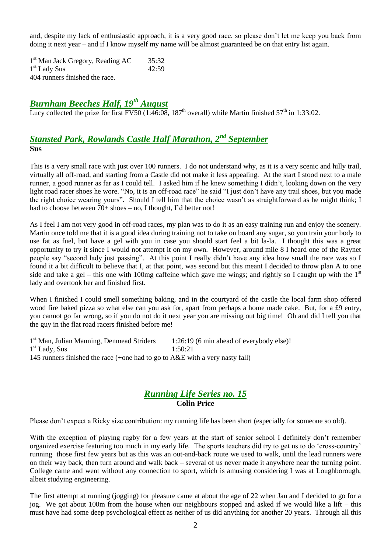and, despite my lack of enthusiastic approach, it is a very good race, so please don't let me keep you back from doing it next year – and if I know myself my name will be almost guaranteed be on that entry list again.

1<sup>st</sup> Man Jack Gregory, Reading AC 35:32 1 st Lady Sus 42:59 404 runners finished the race.

# *Burnham Beeches Half, 19th August*

Lucy collected the prize for first FV50 (1:46:08, 187<sup>th</sup> overall) while Martin finished 57<sup>th</sup> in 1:33:02.

# *Stansted Park, Rowlands Castle Half Marathon, 2nd September* **Sus**

This is a very small race with just over 100 runners. I do not understand why, as it is a very scenic and hilly trail, virtually all off-road, and starting from a Castle did not make it less appealing. At the start I stood next to a male runner, a good runner as far as I could tell. I asked him if he knew something I didn't, looking down on the very light road racer shoes he wore. "No, it is an off-road race" he said "I just don't have any trail shoes, but you made the right choice wearing yours". Should I tell him that the choice wasn't as straightforward as he might think; I had to choose between  $70+$  shoes – no, I thought, I'd better not!

As I feel I am not very good in off-road races, my plan was to do it as an easy training run and enjoy the scenery. Martin once told me that it is a good idea during training not to take on board any sugar, so you train your body to use fat as fuel, but have a gel with you in case you should start feel a bit la-la. I thought this was a great opportunity to try it since I would not attempt it on my own. However, around mile 8 I heard one of the Raynet people say "second lady just passing". At this point I really didn't have any idea how small the race was so I found it a bit difficult to believe that I, at that point, was second but this meant I decided to throw plan A to one side and take a gel – this one with 100mg caffeine which gave me wings; and rightly so I caught up with the  $1<sup>st</sup>$ lady and overtook her and finished first.

When I finished I could smell something baking, and in the courtyard of the castle the local farm shop offered wood fire baked pizza so what else can you ask for, apart from perhaps a home made cake. But, for a £9 entry, you cannot go far wrong, so if you do not do it next year you are missing out big time! Oh and did I tell you that the guy in the flat road racers finished before me!

1<sup>st</sup> Man, Julian Manning, Denmead Striders 1:26:19 (6 min ahead of everybody else)! 1 st Lady, Sus 1:50:21 145 runners finished the race (+one had to go to A&E with a very nasty fall)

## *Running Life Series no. 15* **Colin Price**

Please don't expect a Ricky size contribution: my running life has been short (especially for someone so old).

With the exception of playing rugby for a few years at the start of senior school I definitely don't remember organized exercise featuring too much in my early life. The sports teachers did try to get us to do 'cross-country' running those first few years but as this was an out-and-back route we used to walk, until the lead runners were on their way back, then turn around and walk back – several of us never made it anywhere near the turning point. College came and went without any connection to sport, which is amusing considering I was at Loughborough, albeit studying engineering.

The first attempt at running (jogging) for pleasure came at about the age of 22 when Jan and I decided to go for a jog. We got about 100m from the house when our neighbours stopped and asked if we would like a lift – this must have had some deep psychological effect as neither of us did anything for another 20 years. Through all this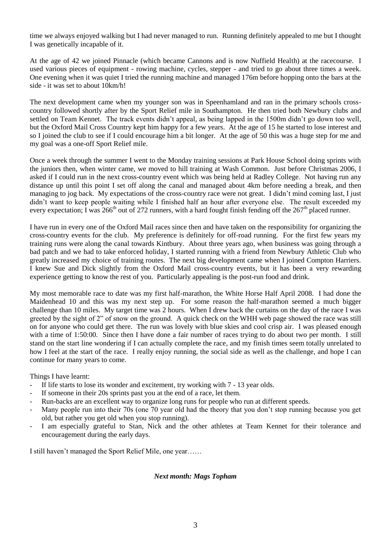time we always enjoyed walking but I had never managed to run. Running definitely appealed to me but I thought I was genetically incapable of it.

At the age of 42 we joined Pinnacle (which became Cannons and is now Nuffield Health) at the racecourse. I used various pieces of equipment - rowing machine, cycles, stepper - and tried to go about three times a week. One evening when it was quiet I tried the running machine and managed 176m before hopping onto the bars at the side - it was set to about 10km/h!

The next development came when my younger son was in Speenhamland and ran in the primary schools crosscountry followed shortly after by the Sport Relief mile in Southampton. He then tried both Newbury clubs and settled on Team Kennet. The track events didn't appeal, as being lapped in the 1500m didn't go down too well, but the Oxford Mail Cross Country kept him happy for a few years. At the age of 15 he started to lose interest and so I joined the club to see if I could encourage him a bit longer. At the age of 50 this was a huge step for me and my goal was a one-off Sport Relief mile.

Once a week through the summer I went to the Monday training sessions at Park House School doing sprints with the juniors then, when winter came, we moved to hill training at Wash Common. Just before Christmas 2006, I asked if I could run in the next cross-country event which was being held at Radley College. Not having run any distance up until this point I set off along the canal and managed about 4km before needing a break, and then managing to jog back. My expectations of the cross-country race were not great. I didn't mind coming last, I just didn't want to keep people waiting while I finished half an hour after everyone else. The result exceeded my every expectation; I was  $266<sup>th</sup>$  out of 272 runners, with a hard fought finish fending off the  $267<sup>th</sup>$  placed runner.

I have run in every one of the Oxford Mail races since then and have taken on the responsibility for organizing the cross-country events for the club. My preference is definitely for off-road running. For the first few years my training runs were along the canal towards Kintbury. About three years ago, when business was going through a bad patch and we had to take enforced holiday, I started running with a friend from Newbury Athletic Club who greatly increased my choice of training routes. The next big development came when I joined Compton Harriers. I knew Sue and Dick slightly from the Oxford Mail cross-country events, but it has been a very rewarding experience getting to know the rest of you. Particularly appealing is the post-run food and drink.

My most memorable race to date was my first half-marathon, the White Horse Half April 2008. I had done the Maidenhead 10 and this was my next step up. For some reason the half-marathon seemed a much bigger challenge than 10 miles. My target time was 2 hours. When I drew back the curtains on the day of the race I was greeted by the sight of 2" of snow on the ground. A quick check on the WHH web page showed the race was still on for anyone who could get there. The run was lovely with blue skies and cool crisp air. I was pleased enough with a time of 1:50:00. Since then I have done a fair number of races trying to do about two per month. I still stand on the start line wondering if I can actually complete the race, and my finish times seem totally unrelated to how I feel at the start of the race. I really enjoy running, the social side as well as the challenge, and hope I can continue for many years to come.

Things I have learnt:

- If life starts to lose its wonder and excitement, try working with 7 13 year olds.
- If someone in their 20s sprints past you at the end of a race, let them.
- Run-backs are an excellent way to organize long runs for people who run at different speeds.
- Many people run into their 70s (one 70 year old had the theory that you don't stop running because you get old, but rather you get old when you stop running).
- I am especially grateful to Stan, Nick and the other athletes at Team Kennet for their tolerance and encouragement during the early days.

I still haven't managed the Sport Relief Mile, one year……

#### *Next month: Mags Topham*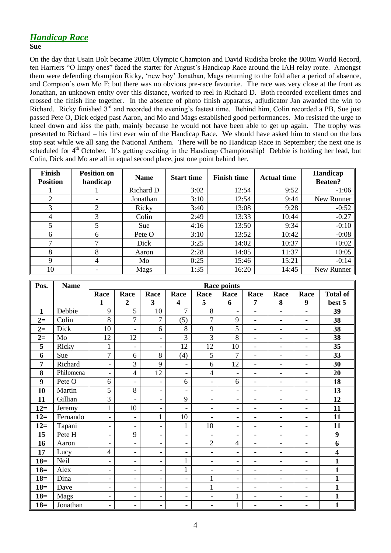# *Handicap Race*

#### **Sue**

On the day that Usain Bolt became 200m Olympic Champion and David Rudisha broke the 800m World Record, ten Harriers "O limpy ones" faced the starter for August's Handicap Race around the IAH relay route. Amongst them were defending champion Ricky, 'new boy' Jonathan, Mags returning to the fold after a period of absence, and Compton's own Mo F; but there was no obvious pre-race favourite. The race was very close at the front as Jonathan, an unknown entity over this distance, worked to reel in Richard D. Both recorded excellent times and crossed the finish line together. In the absence of photo finish apparatus, adjudicator Jan awarded the win to Richard. Ricky finished  $3^{rd}$  and recorded the evening's fastest time. Behind him, Colin recorded a PB, Sue just passed Pete O, Dick edged past Aaron, and Mo and Mags established good performances. Mo resisted the urge to kneel down and kiss the path, mainly because he would not have been able to get up again. The trophy was presented to Richard – his first ever win of the Handicap Race. We should have asked him to stand on the bus stop seat while we all sang the National Anthem. There will be no Handicap Race in September; the next one is scheduled for 4<sup>th</sup> October. It's getting exciting in the Handicap Championship! Debbie is holding her lead, but Colin, Dick and Mo are all in equal second place, just one point behind her.

| <b>Finish</b><br><b>Position</b> | <b>Position on</b><br>handicap | <b>Name</b> | <b>Finish time</b><br><b>Start time</b> |       | <b>Actual time</b> | Handicap<br><b>Beaten?</b> |  |
|----------------------------------|--------------------------------|-------------|-----------------------------------------|-------|--------------------|----------------------------|--|
|                                  |                                | Richard D   | 3:02                                    | 12:54 | 9:52               | $-1:06$                    |  |
| 2                                |                                | Jonathan    | 3:10                                    | 12:54 | 9:44               | New Runner                 |  |
| 3                                | 2                              | Ricky       | 3:40                                    | 13:08 | 9:28               | $-0:52$                    |  |
| $\overline{4}$                   |                                | Colin       | 2:49                                    | 13:33 | 10:44              | $-0:27$                    |  |
| 5                                | 5                              | <b>Sue</b>  | 4:16                                    | 13:50 | 9:34               | $-0:10$                    |  |
| 6                                | 6                              | Pete O      | 3:10                                    | 13:52 | 10:42              | $-0:08$                    |  |
| ⇁                                |                                | Dick        | 3:25                                    | 14:02 | 10:37              | $+0:02$                    |  |
| 8                                | 8                              | Aaron       | 2:28                                    | 14:05 | 11:37              | $+0:05$                    |  |
| 9                                | 4                              | Mo          | 0:25                                    | 15:46 | 15:21              | $-0:14$                    |  |
| 10                               |                                | Mags        | 1:35                                    | 16:20 | 14:45              | New Runner                 |  |

| Pos.         | <b>Name</b> | <b>Race points</b>       |                          |                          |                          |                          |                          |                          |                              |                          |                         |
|--------------|-------------|--------------------------|--------------------------|--------------------------|--------------------------|--------------------------|--------------------------|--------------------------|------------------------------|--------------------------|-------------------------|
|              |             | Race                     | Race                     | Race                     | Race                     | Race                     | Race                     | Race                     | Race                         | Race                     | <b>Total of</b>         |
|              |             | 1                        | $\overline{2}$           | 3                        | $\overline{\mathbf{4}}$  | 5                        | 6                        | 7                        | 8                            | 9                        | best 5                  |
| $\mathbf{1}$ | Debbie      | 9                        | 5                        | 10                       | $\overline{7}$           | 8                        | $\overline{\phantom{a}}$ | $\overline{\phantom{a}}$ | $\qquad \qquad \blacksquare$ | $\overline{\phantom{a}}$ | 39                      |
| $2=$         | Colin       | 8                        | $\overline{7}$           | $\overline{7}$           | (5)                      | $\overline{7}$           | 9                        | $\overline{\phantom{0}}$ | $\overline{\phantom{a}}$     | $\overline{\phantom{a}}$ | 38                      |
| $2=$         | Dick        | 10                       | $\overline{a}$           | 6                        | 8                        | 9                        | 5                        | $\blacksquare$           | $\overline{\phantom{a}}$     | $\overline{\phantom{a}}$ | 38                      |
| $2=$         | Mo          | 12                       | 12                       | $\overline{a}$           | 3                        | $\overline{3}$           | $\overline{8}$           | $\overline{\phantom{a}}$ | $\overline{\phantom{a}}$     | $\blacksquare$           | 38                      |
| 5            | Ricky       | $\mathbf{1}$             | $\overline{a}$           | $\overline{\phantom{0}}$ | 12                       | 12                       | 10                       | $\overline{a}$           | $\overline{a}$               | $\overline{a}$           | 35                      |
| 6            | Sue         | $\overline{7}$           | 6                        | 8                        | (4)                      | 5                        | 7                        | $\blacksquare$           | $\qquad \qquad \blacksquare$ | $\blacksquare$           | 33                      |
| 7            | Richard     | $\overline{\phantom{a}}$ | 3                        | 9                        | $\overline{\phantom{a}}$ | 6                        | 12                       | $\overline{\phantom{a}}$ | $\overline{\phantom{a}}$     | $\overline{\phantom{a}}$ | 30                      |
| 8            | Philomena   | $\overline{\phantom{a}}$ | $\overline{4}$           | 12                       | $\overline{\phantom{a}}$ | 4                        | $\overline{\phantom{a}}$ | $\blacksquare$           | $\overline{\phantom{a}}$     | $\overline{\phantom{a}}$ | 20                      |
| 9            | Pete O      | 6                        | $\overline{\phantom{a}}$ | $\overline{\phantom{0}}$ | 6                        | $\blacksquare$           | 6                        | ۰                        | $\overline{\phantom{a}}$     | $\overline{\phantom{a}}$ | 18                      |
| 10           | Martin      | 5                        | 8                        | $\overline{\phantom{0}}$ | $\overline{\phantom{0}}$ | $\overline{\phantom{a}}$ | $\qquad \qquad -$        | $\overline{\phantom{a}}$ | $\overline{\phantom{0}}$     | $\overline{\phantom{a}}$ | 13                      |
| 11           | Gillian     | 3                        | $\overline{\phantom{0}}$ | $\blacksquare$           | 9                        | $\blacksquare$           | $\blacksquare$           | $\blacksquare$           | $\overline{\phantom{a}}$     | $\equiv$                 | 12                      |
| $12=$        | Jeremy      | $\mathbf{1}$             | 10                       | $\overline{\phantom{a}}$ | $\overline{\phantom{0}}$ | $\overline{\phantom{a}}$ | $\overline{\phantom{a}}$ | $\blacksquare$           | $\overline{a}$               | $\overline{a}$           | 11                      |
| $12=$        | Fernando    | $\blacksquare$           | $\overline{\phantom{0}}$ | $\mathbf{1}$             | 10                       | $\blacksquare$           | $\overline{\phantom{a}}$ | $\blacksquare$           | $\overline{\phantom{0}}$     | $\overline{\phantom{a}}$ | 11                      |
| $12=$        | Tapani      | $\overline{\phantom{a}}$ | $\blacksquare$           | $\overline{\phantom{0}}$ | $\mathbf{1}$             | 10                       | $\overline{\phantom{a}}$ | $\overline{\phantom{a}}$ | $\overline{\phantom{a}}$     | $\overline{\phantom{a}}$ | 11                      |
| 15           | Pete H      | $\overline{\phantom{a}}$ | 9                        | -                        | $\overline{\phantom{0}}$ | $\blacksquare$           | $\overline{\phantom{a}}$ | $\overline{\phantom{a}}$ | $\overline{\phantom{a}}$     | $\overline{\phantom{a}}$ | $\boldsymbol{9}$        |
| 16           | Aaron       | $\overline{\phantom{a}}$ | $\overline{\phantom{a}}$ | -                        | $\overline{\phantom{0}}$ | $\overline{2}$           | $\overline{4}$           | $\overline{a}$           | $\blacksquare$               | $\overline{\phantom{a}}$ | 6                       |
| 17           | Lucy        | $\overline{4}$           | $\overline{\phantom{a}}$ | $\overline{\phantom{0}}$ | $\overline{\phantom{0}}$ | $\overline{\phantom{a}}$ | $\overline{\phantom{a}}$ | $\overline{\phantom{a}}$ | $\overline{\phantom{a}}$     | $\overline{\phantom{a}}$ | $\overline{\mathbf{4}}$ |
| $18=$        | Neil        | $\overline{\phantom{a}}$ | $\qquad \qquad -$        | $\overline{\phantom{a}}$ | $\mathbf{1}$             | $\overline{\phantom{a}}$ | $\overline{\phantom{a}}$ | $\blacksquare$           | $\overline{\phantom{a}}$     | $\overline{\phantom{a}}$ | $\mathbf{1}$            |
| $18=$        | Alex        | $\overline{\phantom{a}}$ | $\qquad \qquad -$        | $\overline{\phantom{0}}$ | $\mathbf{1}$             | $\overline{\phantom{a}}$ | $\overline{\phantom{0}}$ | $\blacksquare$           | $\overline{a}$               | $\overline{a}$           | $\mathbf{1}$            |
| $18=$        | Dina        | $\overline{\phantom{a}}$ | $\overline{\phantom{a}}$ | -                        | $\overline{\phantom{0}}$ | $\mathbf{1}$             | $\overline{\phantom{a}}$ | ۰                        | $\overline{\phantom{a}}$     | $\overline{\phantom{a}}$ | $\mathbf{1}$            |
| $18=$        | Dave        | $\overline{\phantom{a}}$ | $\overline{\phantom{a}}$ | $\overline{\phantom{0}}$ | $\overline{\phantom{a}}$ | $\mathbf{1}$             | $\overline{\phantom{a}}$ | $\overline{\phantom{a}}$ | $\overline{\phantom{a}}$     | $\overline{\phantom{a}}$ | $\mathbf{1}$            |
| $18=$        | Mags        | $\overline{\phantom{a}}$ | $\overline{\phantom{a}}$ | $\overline{\phantom{a}}$ | $\overline{\phantom{a}}$ | $\overline{\phantom{0}}$ | $\mathbf{1}$             | $\overline{\phantom{a}}$ | $\overline{\phantom{a}}$     | $\overline{\phantom{a}}$ | $\mathbf{1}$            |
| $18=$        | Jonathan    | $\blacksquare$           | $\overline{\phantom{a}}$ | $\overline{\phantom{a}}$ | $\overline{\phantom{a}}$ | $\overline{\phantom{a}}$ | $\mathbf{1}$             | ۰                        | $\overline{\phantom{a}}$     | $\overline{\phantom{0}}$ | $\mathbf{1}$            |